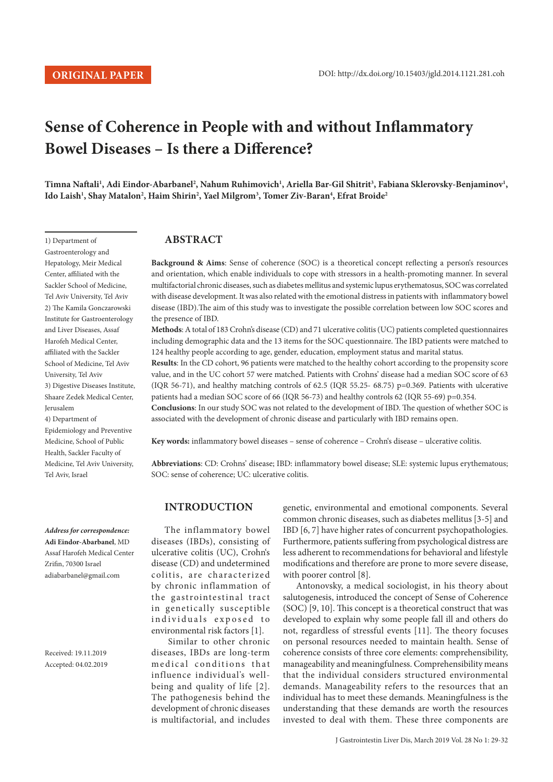1) Department of Gastroenterology and Hepatology, Meir Medical Center, affiliated with the Sackler School of Medicine, Tel Aviv University, Tel Aviv 2) The Kamila Gonczarowski Institute for Gastroenterology and Liver Diseases, Assaf Harofeh Medical Center, affiliated with the Sackler School of Medicine, Tel Aviv University, Tel Aviv

# **Sense of Coherence in People with and without Inflammatory Bowel Diseases – Is there a Difference?**

 $\Gamma$ imna Naftali<sup>ı</sup>, Adi Eindor-Abarbanel<sup>2</sup>, Nahum Ruhimovich<sup>ı</sup>, Ariella Bar-Gil Shitrit<sup>3</sup>, Fabiana Sklerovsky-Benjaminov<sup>ı</sup>, **Ido Laish1 , Shay Matalon2 , Haim Shirin2 , Yael Milgrom3 , Tomer Ziv-Baran4 , Efrat Broide2**

## **ABSTRACT**

**Background & Aims**: Sense of coherence (SOC) is a theoretical concept reflecting a person's resources and orientation, which enable individuals to cope with stressors in a health-promoting manner. In several multifactorial chronic diseases, such as diabetes mellitus and systemic lupus erythematosus, SOC was correlated with disease development. It was also related with the emotional distress in patients with inflammatory bowel disease (IBD).The aim of this study was to investigate the possible correlation between low SOC scores and the presence of IBD.

**Methods**: A total of 183 Crohn's disease (CD) and 71 ulcerative colitis (UC) patients completed questionnaires including demographic data and the 13 items for the SOC questionnaire. The IBD patients were matched to 124 healthy people according to age, gender, education, employment status and marital status.

**Results**: In the CD cohort, 96 patients were matched to the healthy cohort according to the propensity score value, and in the UC cohort 57 were matched. Patients with Crohns' disease had a median SOC score of 63 (IQR 56-71), and healthy matching controls of 62.5 (IQR 55.25- 68.75) p=0.369. Patients with ulcerative patients had a median SOC score of 66 (IQR 56-73) and healthy controls 62 (IQR 55-69) p=0.354. **Conclusions**: In our study SOC was not related to the development of IBD. The question of whether SOC is associated with the development of chronic disease and particularly with IBD remains open.

**Key words:** inflammatory bowel diseases – sense of coherence – Crohn's disease – ulcerative colitis.

**Abbreviations**: CD: Crohns' disease; IBD: inflammatory bowel disease; SLE: systemic lupus erythematous; SOC: sense of coherence; UC: ulcerative colitis.

## **INTRODUCTION**

The inflammatory bowel diseases (IBDs), consisting of ulcerative colitis (UC), Crohn's disease (CD) and undetermined colitis, are characterized by chronic inflammation of the gastrointestinal tract in genetically susceptible individuals exposed to environmental risk factors [1].

 Similar to other chronic diseases, IBDs are long-term medical conditions that influence individual's wellbeing and quality of life [2]. The pathogenesis behind the development of chronic diseases is multifactorial, and includes genetic, environmental and emotional components. Several common chronic diseases, such as diabetes mellitus [3-5] and IBD [6, 7] have higher rates of concurrent psychopathologies. Furthermore, patients suffering from psychological distress are less adherent to recommendations for behavioral and lifestyle modifications and therefore are prone to more severe disease, with poorer control [8].

Antonovsky, a medical sociologist, in his theory about salutogenesis, introduced the concept of Sense of Coherence (SOC) [9, 10]. This concept is a theoretical construct that was developed to explain why some people fall ill and others do not, regardless of stressful events [11]. The theory focuses on personal resources needed to maintain health. Sense of coherence consists of three core elements: comprehensibility, manageability and meaningfulness. Comprehensibility means that the individual considers structured environmental demands. Manageability refers to the resources that an individual has to meet these demands. Meaningfulness is the understanding that these demands are worth the resources invested to deal with them. These three components are

*Address for correspondence:*  **Adi Eindor-Abarbanel**, MD Assaf Harofeh Medical Center Zrifin, 70300 Israel [adiabarbanel@gmail.com](mailto:adiabarbanel@gmail.com)

3) Digestive Diseases Institute, Shaare Zedek Medical Center,

Epidemiology and Preventive Medicine, School of Public Health, Sackler Faculty of Medicine, Tel Aviv University,

Jerusalem 4) Department of

Tel Aviv, Israel

Received: 19.11.2019 Accepted: 04.02.2019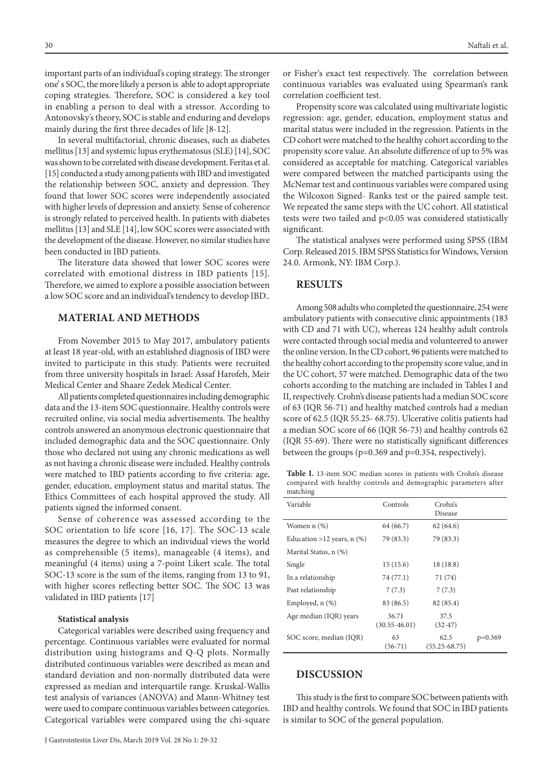important parts of an individual's coping strategy. The stronger one' s SOC, the more likely a person is able to adopt appropriate coping strategies. Therefore, SOC is considered a key tool in enabling a person to deal with a stressor. According to Antonovsky's theory, SOC is stable and enduring and develops mainly during the first three decades of life [8-12].

In several multifactorial, chronic diseases, such as diabetes mellitus [13] and systemic lupus erythematosus (SLE) [14], SOC was shown to be correlated with disease development. Feritas et al. [15] conducted a study among patients with IBD and investigated the relationship between SOC, anxiety and depression. They found that lower SOC scores were independently associated with higher levels of depression and anxiety. Sense of coherence is strongly related to perceived health. In patients with diabetes mellitus [13] and SLE [14], low SOC scores were associated with the development of the disease. However, no similar studies have been conducted in IBD patients.

The literature data showed that lower SOC scores were correlated with emotional distress in IBD patients [15]. Therefore, we aimed to explore a possible association between a low SOC score and an individual's tendency to develop IBD..

## **MATERIAL AND METHODS**

From November 2015 to May 2017, ambulatory patients at least 18 year-old, with an established diagnosis of IBD were invited to participate in this study. Patients were recruited from three university hospitals in Israel: Assaf Harofeh, Meir Medical Center and Shaare Zedek Medical Center.

All patients completed questionnaires including demographic data and the 13-item SOC questionnaire. Healthy controls were recruited online, via social media advertisements. The healthy controls answered an anonymous electronic questionnaire that included demographic data and the SOC questionnaire. Only those who declared not using any chronic medications as well as not having a chronic disease were included. Healthy controls were matched to IBD patients according to five criteria: age, gender, education, employment status and marital status. The Ethics Committees of each hospital approved the study. All patients signed the informed consent.

Sense of coherence was assessed according to the SOC orientation to life score [16, 17]. The SOC-13 scale measures the degree to which an individual views the world as comprehensible (5 items), manageable (4 items), and meaningful (4 items) using a 7-point Likert scale. The total SOC-13 score is the sum of the items, ranging from 13 to 91, with higher scores reflecting better SOC. The SOC 13 was validated in IBD patients [17]

#### **Statistical analysis**

Categorical variables were described using frequency and percentage. Continuous variables were evaluated for normal distribution using histograms and Q-Q plots. Normally distributed continuous variables were described as mean and standard deviation and non-normally distributed data were expressed as median and interquartile range. Kruskal-Wallis test analysis of variances (ANOVA) and Mann-Whitney test were used to compare continuous variables between categories. Categorical variables were compared using the chi-square or Fisher's exact test respectively. The correlation between continuous variables was evaluated using Spearman's rank correlation coefficient test.

Propensity score was calculated using multivariate logistic regression: age, gender, education, employment status and marital status were included in the regression. Patients in the CD cohort were matched to the healthy cohort according to the propensity score value. An absolute difference of up to 5% was considered as acceptable for matching. Categorical variables were compared between the matched participants using the McNemar test and continuous variables were compared using the Wilcoxon Signed- Ranks test or the paired sample test. We repeated the same steps with the UC cohort. All statistical tests were two tailed and p<0.05 was considered statistically significant.

The statistical analyses were performed using SPSS (IBM Corp. Released 2015. IBM SPSS Statistics for Windows, Version 24.0. Armonk, NY: IBM Corp.).

## **RESULTS**

Among 508 adults who completed the questionnaire, 254 were ambulatory patients with consecutive clinic appointments (183 with CD and 71 with UC), whereas 124 healthy adult controls were contacted through social media and volunteered to answer the online version. In the CD cohort, 96 patients were matched to the healthy cohort according to the propensity score value, and in the UC cohort, 57 were matched. Demographic data of the two cohorts according to the matching are included in Tables I and II, respectively. Crohn's disease patients had a median SOC score of 63 (IQR 56-71) and healthy matched controls had a median score of 62.5 (IQR 55.25- 68.75). Ulcerative colitis patients had a median SOC score of 66 (IQR 56-73) and healthy controls 62 (IQR 55-69). There were no statistically significant differences between the groups (p=0.369 and p=0.354, respectively).

**Table I.** 13-item SOC median scores in patients with Crohn's disease compared with healthy controls and demographic parameters after matching

| Variable                     | Controls                   | Crohn's<br>Disease        |           |
|------------------------------|----------------------------|---------------------------|-----------|
| Women $n$ $(\%)$             | 64 (66.7)                  | 62(64.6)                  |           |
| Education >12 years, $n$ (%) | 79 (83.3)                  | 79 (83.3)                 |           |
| Marital Status, n (%)        |                            |                           |           |
| Single                       | 15(15.6)                   | 18(18.8)                  |           |
| In a relationship            | 74 (77.1)                  | 71 (74)                   |           |
| Past relationship            | 7(7.3)                     | 7(7.3)                    |           |
| Employed, $n$ $(\%)$         | 83 (86.5)                  | 82 (85.4)                 |           |
| Age median (IQR) years       | 36.71<br>$(30.55 - 46.01)$ | 37.5<br>$(32-47)$         |           |
| SOC score, median (IQR)      | 63<br>$(56-71)$            | 62.5<br>$(55.25 - 68.75)$ | $p=0.369$ |

## **DISCUSSION**

This study is the first to compare SOC between patients with IBD and healthy controls. We found that SOC in IBD patients is similar to SOC of the general population.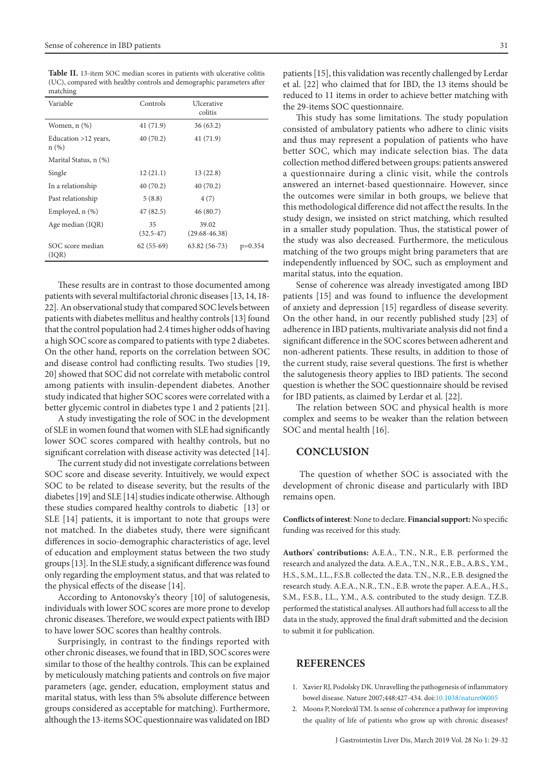**Table II.** 13-item SOC median scores in patients with ulcerative colitis (UC), compared with healthy controls and demographic parameters after matching

| Variable                     | Controls            | Ulcerative<br>colitis      |           |
|------------------------------|---------------------|----------------------------|-----------|
| Women, $n$ $(\%)$            | 41 (71.9)           | 36(63.2)                   |           |
| Education >12 years,<br>n(%) | 40(70.2)            | 41 (71.9)                  |           |
| Marital Status, n (%)        |                     |                            |           |
| Single                       | 12(21.1)            | 13(22.8)                   |           |
| In a relationship            | 40 (70.2)           | 40 (70.2)                  |           |
| Past relationship            | 5(8.8)              | 4(7)                       |           |
| Employed, n (%)              | 47 (82.5)           | 46 (80.7)                  |           |
| Age median (IQR)             | 35<br>$(32.5 - 47)$ | 39.02<br>$(29.68 - 46.38)$ |           |
| SOC score median<br>( IQR)   | $62(55-69)$         | $63.82(56-73)$             | $p=0.354$ |

These results are in contrast to those documented among patients with several multifactorial chronic diseases [13, 14, 18- 22]. An observational study that compared SOC levels between patients with diabetes mellitus and healthy controls [13] found that the control population had 2.4 times higher odds of having a high SOC score as compared to patients with type 2 diabetes. On the other hand, reports on the correlation between SOC and disease control had conflicting results. Two studies [19, 20] showed that SOC did not correlate with metabolic control among patients with insulin-dependent diabetes. Another study indicated that higher SOC scores were correlated with a better glycemic control in diabetes type 1 and 2 patients [21].

A study investigating the role of SOC in the development of SLE in women found that women with SLE had significantly lower SOC scores compared with healthy controls, but no significant correlation with disease activity was detected [14].

The current study did not investigate correlations between SOC score and disease severity. Intuitively, we would expect SOC to be related to disease severity, but the results of the diabetes [19] and SLE [14] studies indicate otherwise. Although these studies compared healthy controls to diabetic [13] or SLE [14] patients, it is important to note that groups were not matched. In the diabetes study, there were significant differences in socio-demographic characteristics of age, level of education and employment status between the two study groups [13]. In the SLE study, a significant difference was found only regarding the employment status, and that was related to the physical effects of the disease [14].

According to Antonovsky's theory [10] of salutogenesis, individuals with lower SOC scores are more prone to develop chronic diseases. Therefore, we would expect patients with IBD to have lower SOC scores than healthy controls.

Surprisingly, in contrast to the findings reported with other chronic diseases, we found that in IBD, SOC scores were similar to those of the healthy controls. This can be explained by meticulously matching patients and controls on five major parameters (age, gender, education, employment status and marital status, with less than 5% absolute difference between groups considered as acceptable for matching). Furthermore, although the 13-items SOC questionnaire was validated on IBD

patients [15], this validation was recently challenged by Lerdar et al. [22] who claimed that for IBD, the 13 items should be reduced to 11 items in order to achieve better matching with the 29-items SOC questionnaire.

This study has some limitations. The study population consisted of ambulatory patients who adhere to clinic visits and thus may represent a population of patients who have better SOC, which may indicate selection bias. The data collection method differed between groups: patients answered a questionnaire during a clinic visit, while the controls answered an internet-based questionnaire. However, since the outcomes were similar in both groups, we believe that this methodological difference did not affect the results. In the study design, we insisted on strict matching, which resulted in a smaller study population. Thus, the statistical power of the study was also decreased. Furthermore, the meticulous matching of the two groups might bring parameters that are independently influenced by SOC, such as employment and marital status, into the equation.

Sense of coherence was already investigated among IBD patients [15] and was found to influence the development of anxiety and depression [15] regardless of disease severity. On the other hand, in our recently published study [23] of adherence in IBD patients, multivariate analysis did not find a significant difference in the SOC scores between adherent and non-adherent patients. These results, in addition to those of the current study, raise several questions. The first is whether the salutogenesis theory applies to IBD patients. The second question is whether the SOC questionnaire should be revised for IBD patients, as claimed by Lerdar et al. [22].

The relation between SOC and physical health is more complex and seems to be weaker than the relation between SOC and mental health [16].

#### **CONCLUSION**

 The question of whether SOC is associated with the development of chronic disease and particularly with IBD remains open.

**Conflicts of interest**: None to declare. **Financial support:** No specific funding was received for this study.

**Authors' contributions:** A.E.A., T.N., N.R., E.B. performed the research and analyzed the data. A.E.A., T.N., N.R., E.B., A.B.S., Y.M., H.S., S.M., I.L., F.S.B. collected the data. T.N., N.R., E.B. designed the research study. A.E.A., N.R., T.N., E.B. wrote the paper. A.E.A., H.S., S.M., F.S.B., I.L., Y.M., A.S. contributed to the study design. T.Z.B. performed the statistical analyses. All authors had full access to all the data in the study, approved the final draft submitted and the decision to submit it for publication.

## **REFERENCES**

- 1. Xavier RJ, Podolsky DK. Unravelling the pathogenesis of inflammatory bowel disease. Nature 2007;448:427-434. doi:[10.1038/nature06005](http://dx.doi.org/10.1038/nature06005)
- 2. Moons P, Norekvål TM. Is sense of coherence a pathway for improving the quality of life of patients who grow up with chronic diseases?